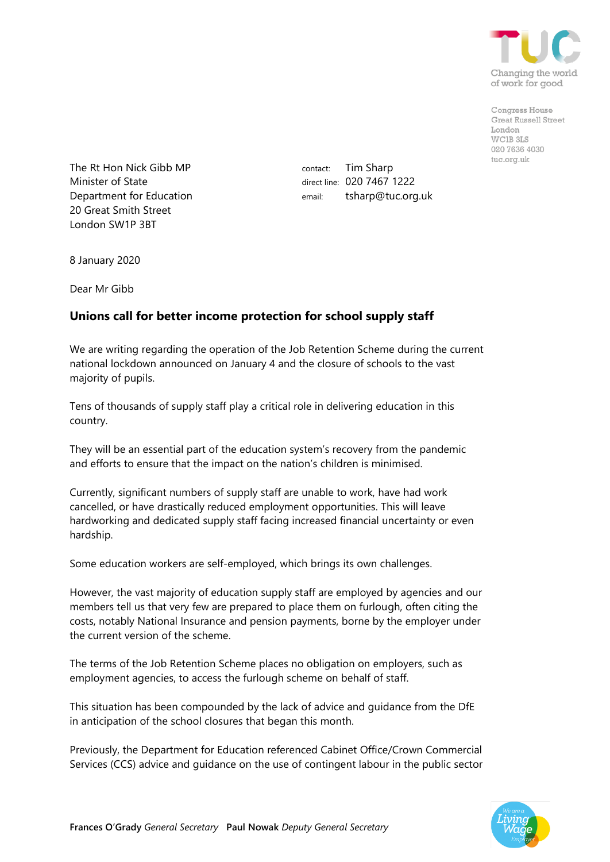

Congress House **Great Russell Street** London WCIR 3LS 020 7636 4030 tuc.org.uk

The Rt Hon Nick Gibb MP Minister of State Department for Education 20 Great Smith Street London SW1P 3BT

contact: Tim Sharp direct line: 020 7467 1222 email: tsharp@tuc.org.uk

8 January 2020

Dear Mr Gibb

## **Unions call for better income protection for school supply staff**

We are writing regarding the operation of the Job Retention Scheme during the current national lockdown announced on January 4 and the closure of schools to the vast majority of pupils.

Tens of thousands of supply staff play a critical role in delivering education in this country.

They will be an essential part of the education system's recovery from the pandemic and efforts to ensure that the impact on the nation's children is minimised.

Currently, significant numbers of supply staff are unable to work, have had work cancelled, or have drastically reduced employment opportunities. This will leave hardworking and dedicated supply staff facing increased financial uncertainty or even hardship.

Some education workers are self-employed, which brings its own challenges.

However, the vast majority of education supply staff are employed by agencies and our members tell us that very few are prepared to place them on furlough, often citing the costs, notably National Insurance and pension payments, borne by the employer under the current version of the scheme.

The terms of the Job Retention Scheme places no obligation on employers, such as employment agencies, to access the furlough scheme on behalf of staff.

This situation has been compounded by the lack of advice and guidance from the DfE in anticipation of the school closures that began this month.

Previously, the Department for Education referenced Cabinet Office/Crown Commercial Services (CCS) advice and guidance on the use of contingent labour in the public sector

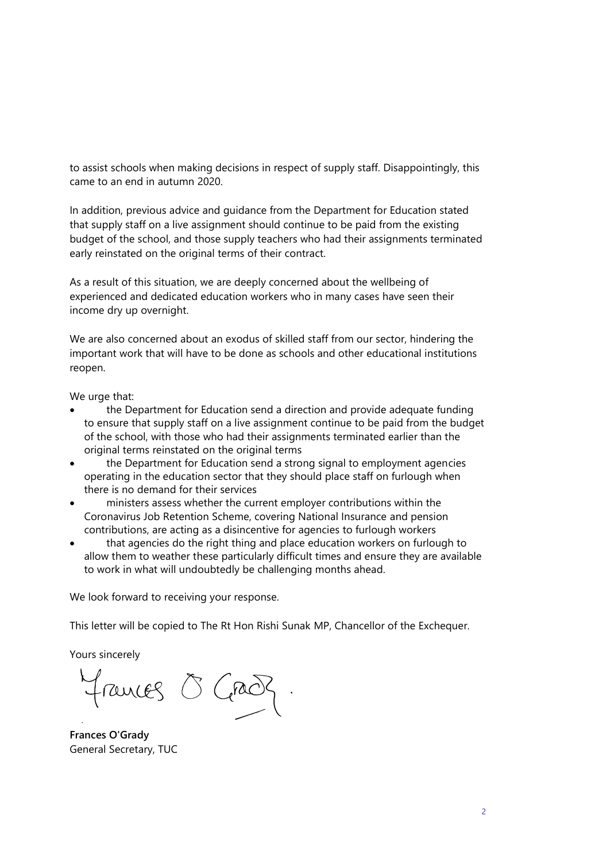to assist schools when making decisions in respect of supply staff. Disappointingly, this came to an end in autumn 2020.

In addition, previous advice and guidance from the Department for Education stated that supply staff on a live assignment should continue to be paid from the existing budget of the school, and those supply teachers who had their assignments terminated early reinstated on the original terms of their contract.

As a result of this situation, we are deeply concerned about the wellbeing of experienced and dedicated education workers who in many cases have seen their income dry up overnight.

We are also concerned about an exodus of skilled staff from our sector, hindering the important work that will have to be done as schools and other educational institutions reopen.

We urge that:

- the Department for Education send a direction and provide adequate funding to ensure that supply staff on a live assignment continue to be paid from the budget of the school, with those who had their assignments terminated earlier than the original terms reinstated on the original terms
- the Department for Education send a strong signal to employment agencies operating in the education sector that they should place staff on furlough when there is no demand for their services
- ministers assess whether the current employer contributions within the Coronavirus Job Retention Scheme, covering National Insurance and pension contributions, are acting as a disincentive for agencies to furlough workers
- that agencies do the right thing and place education workers on furlough to allow them to weather these particularly difficult times and ensure they are available to work in what will undoubtedly be challenging months ahead.

We look forward to receiving your response.

This letter will be copied to The Rt Hon Rishi Sunak MP, Chancellor of the Exchequer.

Yours sincerely

Frances O Grad

**Frances O'Grady** General Secretary, TUC